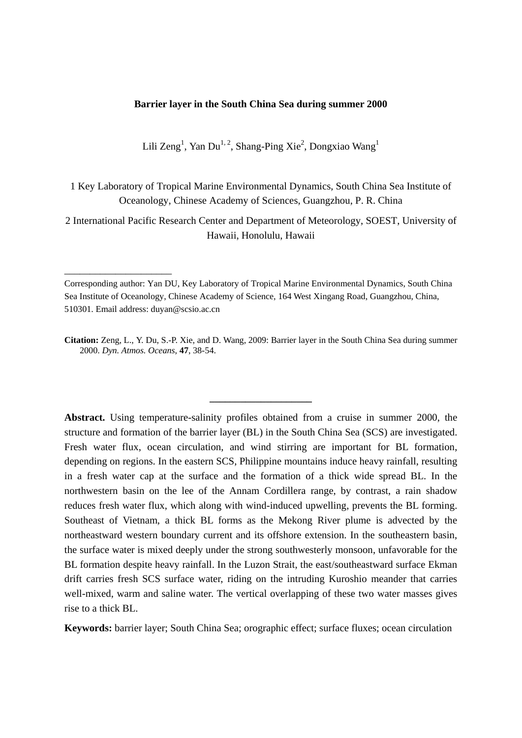# **Barrier layer in the South China Sea during summer 2000**

Lili Zeng<sup>1</sup>, Yan Du<sup>1, 2</sup>, Shang-Ping Xie<sup>2</sup>, Dongxiao Wang<sup>1</sup>

1 Key Laboratory of Tropical Marine Environmental Dynamics, South China Sea Institute of Oceanology, Chinese Academy of Sciences, Guangzhou, P. R. China

2 International Pacific Research Center and Department of Meteorology, SOEST, University of Hawaii, Honolulu, Hawaii

Corresponding author: Yan DU, Key Laboratory of Tropical Marine Environmental Dynamics, South China Sea Institute of Oceanology, Chinese Academy of Science, 164 West Xingang Road, Guangzhou, China, 510301. Email address: duyan@scsio.ac.cn

\_\_\_\_\_\_\_\_\_\_\_\_\_\_\_\_\_\_\_\_\_

**Citation:** Zeng, L., Y. Du, S.-P. Xie, and D. Wang, 2009: Barrier layer in the South China Sea during summer 2000. *Dyn. Atmos. Oceans*, **47**, 38-54.

**\_\_\_\_\_\_\_\_\_\_\_\_\_\_\_\_\_\_\_\_** 

**Abstract.** Using temperature-salinity profiles obtained from a cruise in summer 2000, the structure and formation of the barrier layer (BL) in the South China Sea (SCS) are investigated. Fresh water flux, ocean circulation, and wind stirring are important for BL formation, depending on regions. In the eastern SCS, Philippine mountains induce heavy rainfall, resulting in a fresh water cap at the surface and the formation of a thick wide spread BL. In the northwestern basin on the lee of the Annam Cordillera range, by contrast, a rain shadow reduces fresh water flux, which along with wind-induced upwelling, prevents the BL forming. Southeast of Vietnam, a thick BL forms as the Mekong River plume is advected by the northeastward western boundary current and its offshore extension. In the southeastern basin, the surface water is mixed deeply under the strong southwesterly monsoon, unfavorable for the BL formation despite heavy rainfall. In the Luzon Strait, the east/southeastward surface Ekman drift carries fresh SCS surface water, riding on the intruding Kuroshio meander that carries well-mixed, warm and saline water. The vertical overlapping of these two water masses gives rise to a thick BL.

**Keywords:** barrier layer; South China Sea; orographic effect; surface fluxes; ocean circulation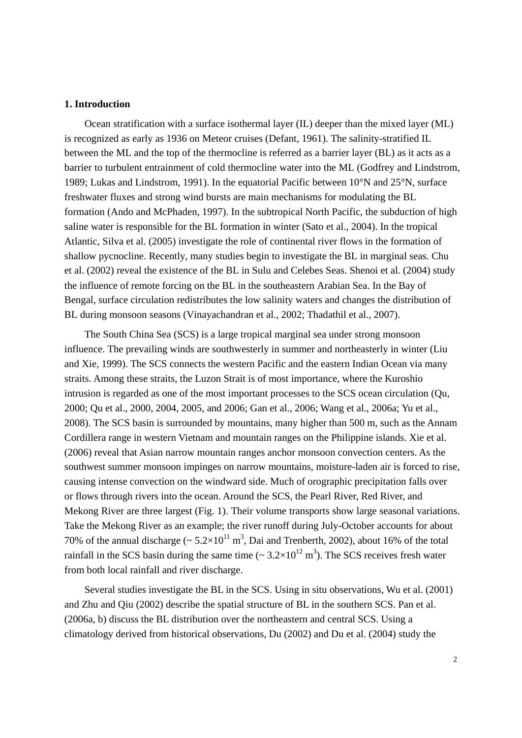# **1. Introduction**

Ocean stratification with a surface isothermal layer (IL) deeper than the mixed layer (ML) is recognized as early as 1936 on Meteor cruises (Defant, 1961). The salinity-stratified IL between the ML and the top of the thermocline is referred as a barrier layer (BL) as it acts as a barrier to turbulent entrainment of cold thermocline water into the ML (Godfrey and Lindstrom, 1989; Lukas and Lindstrom, 1991). In the equatorial Pacific between 10°N and 25°N, surface freshwater fluxes and strong wind bursts are main mechanisms for modulating the BL formation (Ando and McPhaden, 1997). In the subtropical North Pacific, the subduction of high saline water is responsible for the BL formation in winter (Sato et al., 2004). In the tropical Atlantic, Silva et al. (2005) investigate the role of continental river flows in the formation of shallow pycnocline. Recently, many studies begin to investigate the BL in marginal seas. Chu et al. (2002) reveal the existence of the BL in Sulu and Celebes Seas. Shenoi et al. (2004) study the influence of remote forcing on the BL in the southeastern Arabian Sea. In the Bay of Bengal, surface circulation redistributes the low salinity waters and changes the distribution of BL during monsoon seasons (Vinayachandran et al., 2002; Thadathil et al., 2007).

The South China Sea (SCS) is a large tropical marginal sea under strong monsoon influence. The prevailing winds are southwesterly in summer and northeasterly in winter (Liu and Xie, 1999). The SCS connects the western Pacific and the eastern Indian Ocean via many straits. Among these straits, the Luzon Strait is of most importance, where the Kuroshio intrusion is regarded as one of the most important processes to the SCS ocean circulation (Qu, 2000; Qu et al., 2000, 2004, 2005, and 2006; Gan et al., 2006; Wang et al., 2006a; Yu et al., 2008). The SCS basin is surrounded by mountains, many higher than 500 m, such as the Annam Cordillera range in western Vietnam and mountain ranges on the Philippine islands. Xie et al. (2006) reveal that Asian narrow mountain ranges anchor monsoon convection centers. As the southwest summer monsoon impinges on narrow mountains, moisture-laden air is forced to rise, causing intense convection on the windward side. Much of orographic precipitation falls over or flows through rivers into the ocean. Around the SCS, the Pearl River, Red River, and Mekong River are three largest (Fig. 1). Their volume transports show large seasonal variations. Take the Mekong River as an example; the river runoff during July-October accounts for about 70% of the annual discharge ( $\sim 5.2 \times 10^{11}$  m<sup>3</sup>, Dai and Trenberth, 2002), about 16% of the total rainfall in the SCS basin during the same time  $\left(\sim 3.2 \times 10^{12} \text{ m}^3\right)$ . The SCS receives fresh water from both local rainfall and river discharge.

Several studies investigate the BL in the SCS. Using in situ observations, Wu et al. (2001) and Zhu and Qiu (2002) describe the spatial structure of BL in the southern SCS. Pan et al. (2006a, b) discuss the BL distribution over the northeastern and central SCS. Using a climatology derived from historical observations, Du (2002) and Du et al. (2004) study the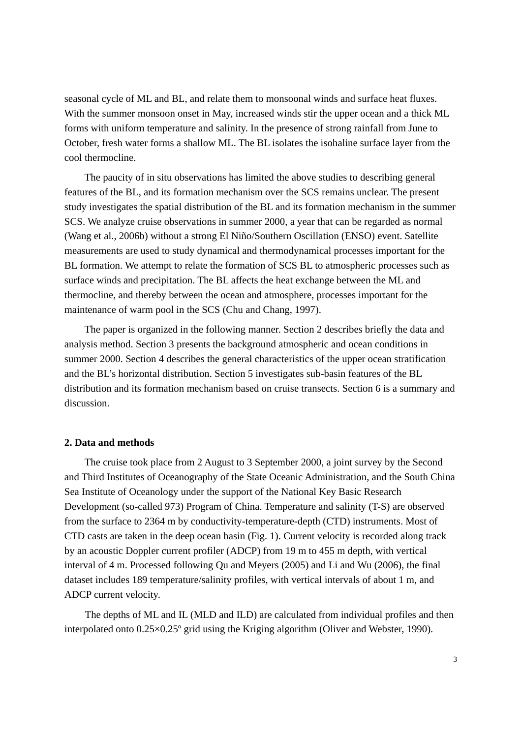seasonal cycle of ML and BL, and relate them to monsoonal winds and surface heat fluxes. With the summer monsoon onset in May, increased winds stir the upper ocean and a thick ML forms with uniform temperature and salinity. In the presence of strong rainfall from June to October, fresh water forms a shallow ML. The BL isolates the isohaline surface layer from the cool thermocline.

The paucity of in situ observations has limited the above studies to describing general features of the BL, and its formation mechanism over the SCS remains unclear. The present study investigates the spatial distribution of the BL and its formation mechanism in the summer SCS. We analyze cruise observations in summer 2000, a year that can be regarded as normal (Wang et al., 2006b) without a strong El Niño/Southern Oscillation (ENSO) event. Satellite measurements are used to study dynamical and thermodynamical processes important for the BL formation. We attempt to relate the formation of SCS BL to atmospheric processes such as surface winds and precipitation. The BL affects the heat exchange between the ML and thermocline, and thereby between the ocean and atmosphere, processes important for the maintenance of warm pool in the SCS (Chu and Chang, 1997).

The paper is organized in the following manner. Section 2 describes briefly the data and analysis method. Section 3 presents the background atmospheric and ocean conditions in summer 2000. Section 4 describes the general characteristics of the upper ocean stratification and the BL's horizontal distribution. Section 5 investigates sub-basin features of the BL distribution and its formation mechanism based on cruise transects. Section 6 is a summary and discussion.

#### **2. Data and methods**

The cruise took place from 2 August to 3 September 2000, a joint survey by the Second and Third Institutes of Oceanography of the State Oceanic Administration, and the South China Sea Institute of Oceanology under the support of the National Key Basic Research Development (so-called 973) Program of China. Temperature and salinity (T-S) are observed from the surface to 2364 m by conductivity-temperature-depth (CTD) instruments. Most of CTD casts are taken in the deep ocean basin (Fig. 1). Current velocity is recorded along track by an acoustic Doppler current profiler (ADCP) from 19 m to 455 m depth, with vertical interval of 4 m. Processed following Qu and Meyers (2005) and Li and Wu (2006), the final dataset includes 189 temperature/salinity profiles, with vertical intervals of about 1 m, and ADCP current velocity.

The depths of ML and IL (MLD and ILD) are calculated from individual profiles and then interpolated onto 0.25×0.25º grid using the Kriging algorithm (Oliver and Webster, 1990).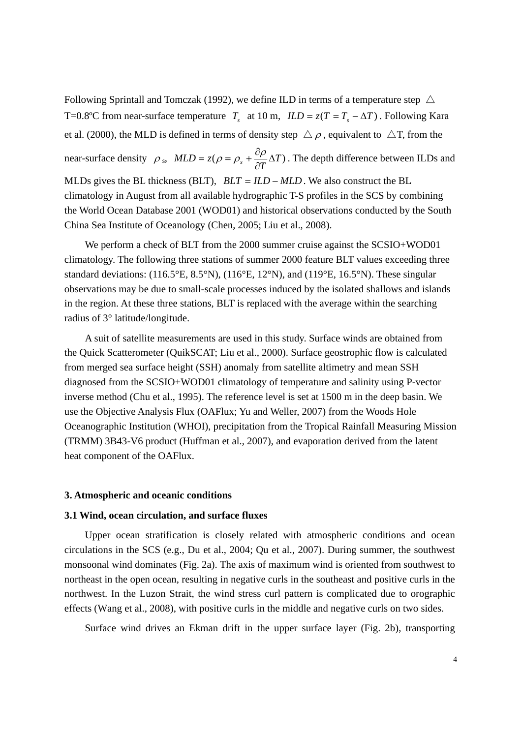Following Sprintall and Tomczak (1992), we define ILD in terms of a temperature step  $\triangle$ T=0.8°C from near-surface temperature  $T_s$  at 10 m,  $ILD = z(T = T_s - \Delta T)$ . Following Kara et al. (2000), the MLD is defined in terms of density step  $\triangle \rho$ , equivalent to  $\triangle T$ , from the near-surface density  $\rho$  s,  $MLD = z(\rho = \rho_s + \frac{\partial \rho}{\partial T} \Delta T)$  $= z(\rho = \rho_s + \frac{\partial \rho}{\partial r} \Delta T)$ . The depth difference between ILDs and MLDs gives the BL thickness (BLT),  $BLT = ILD - MLD$ . We also construct the BL climatology in August from all available hydrographic T-S profiles in the SCS by combining the World Ocean Database 2001 (WOD01) and historical observations conducted by the South China Sea Institute of Oceanology (Chen, 2005; Liu et al., 2008).

We perform a check of BLT from the 2000 summer cruise against the SCSIO+WOD01 climatology. The following three stations of summer 2000 feature BLT values exceeding three standard deviations: (116.5°E, 8.5°N), (116°E, 12°N), and (119°E, 16.5°N). These singular observations may be due to small-scale processes induced by the isolated shallows and islands in the region. At these three stations, BLT is replaced with the average within the searching radius of 3° latitude/longitude.

A suit of satellite measurements are used in this study. Surface winds are obtained from the Quick Scatterometer (QuikSCAT; Liu et al., 2000). Surface geostrophic flow is calculated from merged sea surface height (SSH) anomaly from satellite altimetry and mean SSH diagnosed from the SCSIO+WOD01 climatology of temperature and salinity using P-vector inverse method (Chu et al., 1995). The reference level is set at 1500 m in the deep basin. We use the Objective Analysis Flux (OAFlux; Yu and Weller, 2007) from the Woods Hole Oceanographic Institution (WHOI), precipitation from the Tropical Rainfall Measuring Mission (TRMM) 3B43-V6 product (Huffman et al., 2007), and evaporation derived from the latent heat component of the OAFlux.

# **3. Atmospheric and oceanic conditions**

# **3.1 Wind, ocean circulation, and surface fluxes**

Upper ocean stratification is closely related with atmospheric conditions and ocean circulations in the SCS (e.g., Du et al., 2004; Qu et al., 2007). During summer, the southwest monsoonal wind dominates (Fig. 2a). The axis of maximum wind is oriented from southwest to northeast in the open ocean, resulting in negative curls in the southeast and positive curls in the northwest. In the Luzon Strait, the wind stress curl pattern is complicated due to orographic effects (Wang et al., 2008), with positive curls in the middle and negative curls on two sides.

Surface wind drives an Ekman drift in the upper surface layer (Fig. 2b), transporting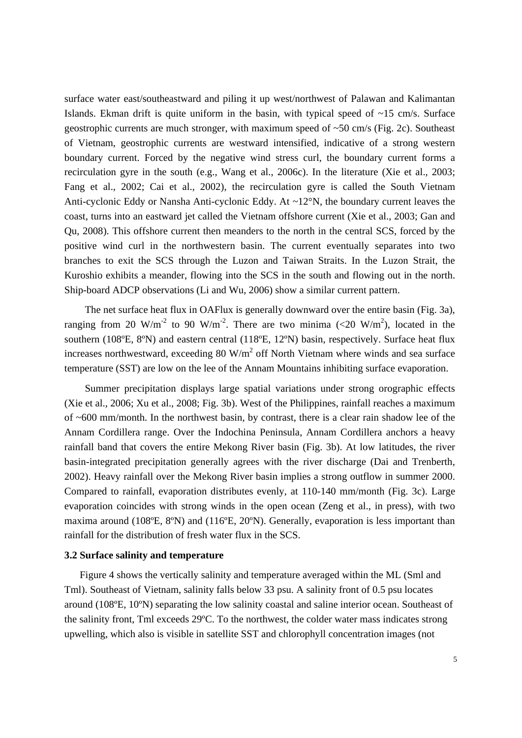surface water east/southeastward and piling it up west/northwest of Palawan and Kalimantan Islands. Ekman drift is quite uniform in the basin, with typical speed of  $\sim$ 15 cm/s. Surface geostrophic currents are much stronger, with maximum speed of ~50 cm/s (Fig. 2c). Southeast of Vietnam, geostrophic currents are westward intensified, indicative of a strong western boundary current. Forced by the negative wind stress curl, the boundary current forms a recirculation gyre in the south (e.g., Wang et al., 2006c). In the literature (Xie et al., 2003; Fang et al., 2002; Cai et al., 2002), the recirculation gyre is called the South Vietnam Anti-cyclonic Eddy or Nansha Anti-cyclonic Eddy. At ~12°N, the boundary current leaves the coast, turns into an eastward jet called the Vietnam offshore current (Xie et al., 2003; Gan and Qu, 2008). This offshore current then meanders to the north in the central SCS, forced by the positive wind curl in the northwestern basin. The current eventually separates into two branches to exit the SCS through the Luzon and Taiwan Straits. In the Luzon Strait, the Kuroshio exhibits a meander, flowing into the SCS in the south and flowing out in the north. Ship-board ADCP observations (Li and Wu, 2006) show a similar current pattern.

The net surface heat flux in OAFlux is generally downward over the entire basin (Fig. 3a), ranging from 20 W/m<sup>-2</sup> to 90 W/m<sup>-2</sup>. There are two minima (<20 W/m<sup>2</sup>), located in the southern (108°E, 8°N) and eastern central (118°E, 12°N) basin, respectively. Surface heat flux increases northwestward, exceeding  $80 \text{ W/m}^2$  off North Vietnam where winds and sea surface temperature (SST) are low on the lee of the Annam Mountains inhibiting surface evaporation.

Summer precipitation displays large spatial variations under strong orographic effects (Xie et al., 2006; Xu et al., 2008; Fig. 3b). West of the Philippines, rainfall reaches a maximum of ~600 mm/month. In the northwest basin, by contrast, there is a clear rain shadow lee of the Annam Cordillera range. Over the Indochina Peninsula, Annam Cordillera anchors a heavy rainfall band that covers the entire Mekong River basin (Fig. 3b). At low latitudes, the river basin-integrated precipitation generally agrees with the river discharge (Dai and Trenberth, 2002). Heavy rainfall over the Mekong River basin implies a strong outflow in summer 2000. Compared to rainfall, evaporation distributes evenly, at 110-140 mm/month (Fig. 3c). Large evaporation coincides with strong winds in the open ocean (Zeng et al., in press), with two maxima around (108ºE, 8ºN) and (116ºE, 20ºN). Generally, evaporation is less important than rainfall for the distribution of fresh water flux in the SCS.

#### **3.2 Surface salinity and temperature**

Figure 4 shows the vertically salinity and temperature averaged within the ML (Sml and Tml). Southeast of Vietnam, salinity falls below 33 psu. A salinity front of 0.5 psu locates around (108ºE, 10ºN) separating the low salinity coastal and saline interior ocean. Southeast of the salinity front, Tml exceeds 29ºC. To the northwest, the colder water mass indicates strong upwelling, which also is visible in satellite SST and chlorophyll concentration images (not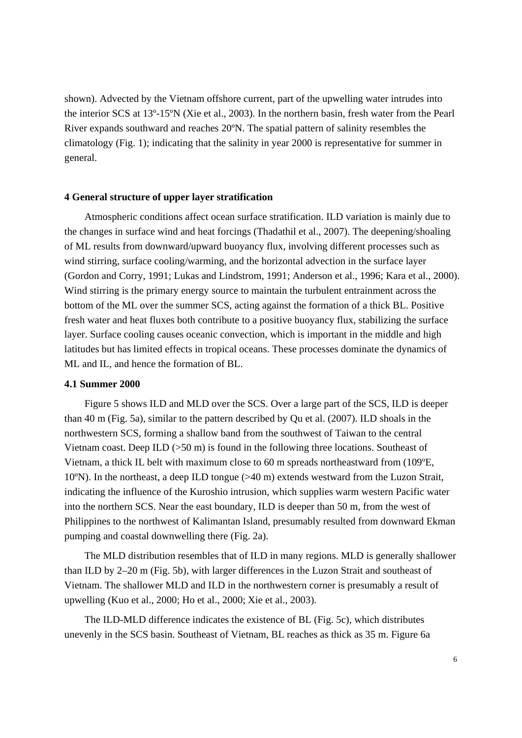shown). Advected by the Vietnam offshore current, part of the upwelling water intrudes into the interior SCS at 13º-15ºN (Xie et al., 2003). In the northern basin, fresh water from the Pearl River expands southward and reaches 20ºN. The spatial pattern of salinity resembles the climatology (Fig. 1); indicating that the salinity in year 2000 is representative for summer in general.

# **4 General structure of upper layer stratification**

Atmospheric conditions affect ocean surface stratification. ILD variation is mainly due to the changes in surface wind and heat forcings (Thadathil et al., 2007). The deepening/shoaling of ML results from downward/upward buoyancy flux, involving different processes such as wind stirring, surface cooling/warming, and the horizontal advection in the surface layer (Gordon and Corry, 1991; Lukas and Lindstrom, 1991; Anderson et al., 1996; Kara et al., 2000). Wind stirring is the primary energy source to maintain the turbulent entrainment across the bottom of the ML over the summer SCS, acting against the formation of a thick BL. Positive fresh water and heat fluxes both contribute to a positive buoyancy flux, stabilizing the surface layer. Surface cooling causes oceanic convection, which is important in the middle and high latitudes but has limited effects in tropical oceans. These processes dominate the dynamics of ML and IL, and hence the formation of BL.

### **4.1 Summer 2000**

Figure 5 shows ILD and MLD over the SCS. Over a large part of the SCS, ILD is deeper than 40 m (Fig. 5a), similar to the pattern described by Qu et al. (2007). ILD shoals in the northwestern SCS, forming a shallow band from the southwest of Taiwan to the central Vietnam coast. Deep ILD (>50 m) is found in the following three locations. Southeast of Vietnam, a thick IL belt with maximum close to 60 m spreads northeastward from (109ºE, 10ºN). In the northeast, a deep ILD tongue (>40 m) extends westward from the Luzon Strait, indicating the influence of the Kuroshio intrusion, which supplies warm western Pacific water into the northern SCS. Near the east boundary, ILD is deeper than 50 m, from the west of Philippines to the northwest of Kalimantan Island, presumably resulted from downward Ekman pumping and coastal downwelling there (Fig. 2a).

The MLD distribution resembles that of ILD in many regions. MLD is generally shallower than ILD by 2–20 m (Fig. 5b), with larger differences in the Luzon Strait and southeast of Vietnam. The shallower MLD and ILD in the northwestern corner is presumably a result of upwelling (Kuo et al., 2000; Ho et al., 2000; Xie et al., 2003).

The ILD-MLD difference indicates the existence of BL (Fig. 5c), which distributes unevenly in the SCS basin. Southeast of Vietnam, BL reaches as thick as 35 m. Figure 6a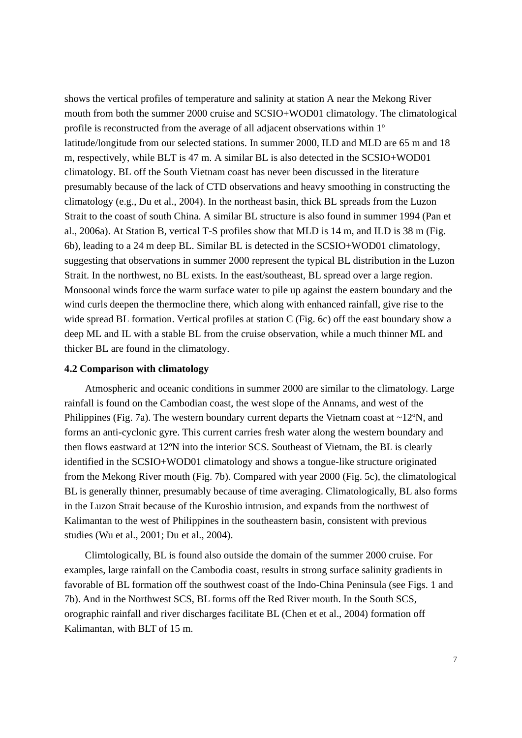shows the vertical profiles of temperature and salinity at station A near the Mekong River mouth from both the summer 2000 cruise and SCSIO+WOD01 climatology. The climatological profile is reconstructed from the average of all adjacent observations within 1º latitude/longitude from our selected stations. In summer 2000, ILD and MLD are 65 m and 18 m, respectively, while BLT is 47 m. A similar BL is also detected in the SCSIO+WOD01 climatology. BL off the South Vietnam coast has never been discussed in the literature presumably because of the lack of CTD observations and heavy smoothing in constructing the climatology (e.g., Du et al., 2004). In the northeast basin, thick BL spreads from the Luzon Strait to the coast of south China. A similar BL structure is also found in summer 1994 (Pan et al., 2006a). At Station B, vertical T-S profiles show that MLD is 14 m, and ILD is 38 m (Fig. 6b), leading to a 24 m deep BL. Similar BL is detected in the SCSIO+WOD01 climatology, suggesting that observations in summer 2000 represent the typical BL distribution in the Luzon Strait. In the northwest, no BL exists. In the east/southeast, BL spread over a large region. Monsoonal winds force the warm surface water to pile up against the eastern boundary and the wind curls deepen the thermocline there, which along with enhanced rainfall, give rise to the wide spread BL formation. Vertical profiles at station C (Fig. 6c) off the east boundary show a deep ML and IL with a stable BL from the cruise observation, while a much thinner ML and thicker BL are found in the climatology.

# **4.2 Comparison with climatology**

Atmospheric and oceanic conditions in summer 2000 are similar to the climatology. Large rainfall is found on the Cambodian coast, the west slope of the Annams, and west of the Philippines (Fig. 7a). The western boundary current departs the Vietnam coast at  $\sim$ 12°N, and forms an anti-cyclonic gyre. This current carries fresh water along the western boundary and then flows eastward at 12ºN into the interior SCS. Southeast of Vietnam, the BL is clearly identified in the SCSIO+WOD01 climatology and shows a tongue-like structure originated from the Mekong River mouth (Fig. 7b). Compared with year 2000 (Fig. 5c), the climatological BL is generally thinner, presumably because of time averaging. Climatologically, BL also forms in the Luzon Strait because of the Kuroshio intrusion, and expands from the northwest of Kalimantan to the west of Philippines in the southeastern basin, consistent with previous studies (Wu et al., 2001; Du et al., 2004).

Climtologically, BL is found also outside the domain of the summer 2000 cruise. For examples, large rainfall on the Cambodia coast, results in strong surface salinity gradients in favorable of BL formation off the southwest coast of the Indo-China Peninsula (see Figs. 1 and 7b). And in the Northwest SCS, BL forms off the Red River mouth. In the South SCS, orographic rainfall and river discharges facilitate BL (Chen et et al., 2004) formation off Kalimantan, with BLT of 15 m.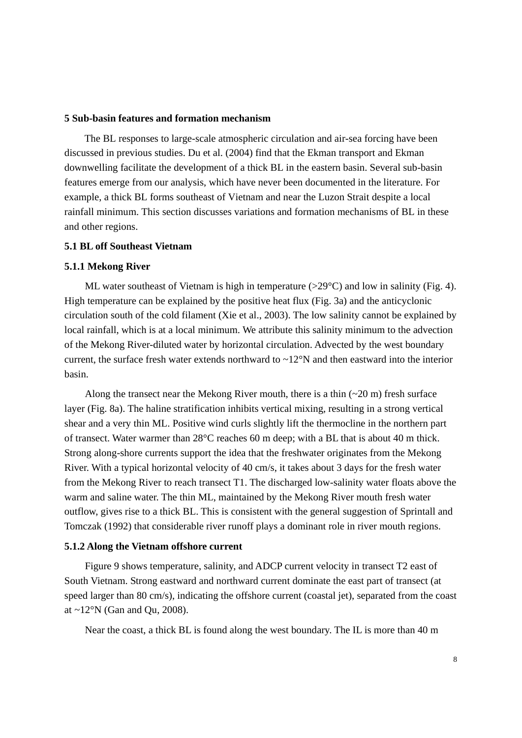# **5 Sub-basin features and formation mechanism**

The BL responses to large-scale atmospheric circulation and air-sea forcing have been discussed in previous studies. Du et al. (2004) find that the Ekman transport and Ekman downwelling facilitate the development of a thick BL in the eastern basin. Several sub-basin features emerge from our analysis, which have never been documented in the literature. For example, a thick BL forms southeast of Vietnam and near the Luzon Strait despite a local rainfall minimum. This section discusses variations and formation mechanisms of BL in these and other regions.

# **5.1 BL off Southeast Vietnam**

## **5.1.1 Mekong River**

ML water southeast of Vietnam is high in temperature  $(>29^{\circ}C)$  and low in salinity (Fig. 4). High temperature can be explained by the positive heat flux (Fig. 3a) and the anticyclonic circulation south of the cold filament (Xie et al., 2003). The low salinity cannot be explained by local rainfall, which is at a local minimum. We attribute this salinity minimum to the advection of the Mekong River-diluted water by horizontal circulation. Advected by the west boundary current, the surface fresh water extends northward to  $\sim 12^{\circ}$ N and then eastward into the interior basin.

Along the transect near the Mekong River mouth, there is a thin  $(\sim 20 \text{ m})$  fresh surface layer (Fig. 8a). The haline stratification inhibits vertical mixing, resulting in a strong vertical shear and a very thin ML. Positive wind curls slightly lift the thermocline in the northern part of transect. Water warmer than 28°C reaches 60 m deep; with a BL that is about 40 m thick. Strong along-shore currents support the idea that the freshwater originates from the Mekong River. With a typical horizontal velocity of 40 cm/s, it takes about 3 days for the fresh water from the Mekong River to reach transect T1. The discharged low-salinity water floats above the warm and saline water. The thin ML, maintained by the Mekong River mouth fresh water outflow, gives rise to a thick BL. This is consistent with the general suggestion of Sprintall and Tomczak (1992) that considerable river runoff plays a dominant role in river mouth regions.

# **5.1.2 Along the Vietnam offshore current**

Figure 9 shows temperature, salinity, and ADCP current velocity in transect T2 east of South Vietnam. Strong eastward and northward current dominate the east part of transect (at speed larger than 80 cm/s), indicating the offshore current (coastal jet), separated from the coast at ~12°N (Gan and Qu, 2008).

Near the coast, a thick BL is found along the west boundary. The IL is more than 40 m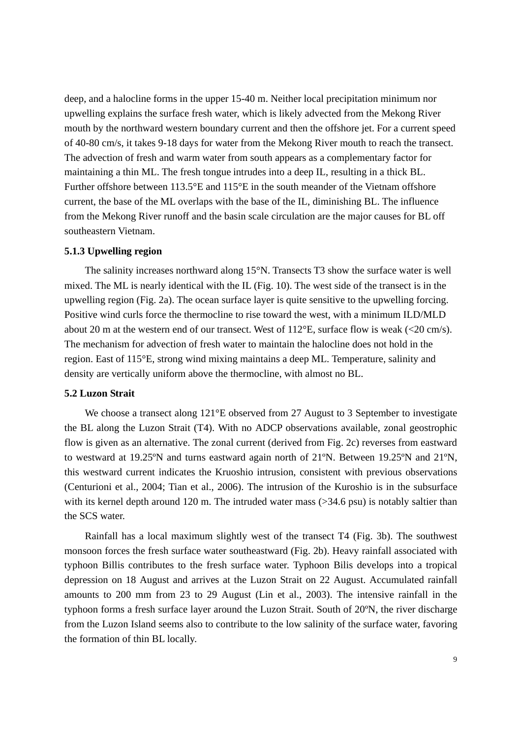deep, and a halocline forms in the upper 15-40 m. Neither local precipitation minimum nor upwelling explains the surface fresh water, which is likely advected from the Mekong River mouth by the northward western boundary current and then the offshore jet. For a current speed of 40-80 cm/s, it takes 9-18 days for water from the Mekong River mouth to reach the transect. The advection of fresh and warm water from south appears as a complementary factor for maintaining a thin ML. The fresh tongue intrudes into a deep IL, resulting in a thick BL. Further offshore between 113.5°E and 115°E in the south meander of the Vietnam offshore current, the base of the ML overlaps with the base of the IL, diminishing BL. The influence from the Mekong River runoff and the basin scale circulation are the major causes for BL off southeastern Vietnam.

### **5.1.3 Upwelling region**

The salinity increases northward along 15°N. Transects T3 show the surface water is well mixed. The ML is nearly identical with the IL (Fig. 10). The west side of the transect is in the upwelling region (Fig. 2a). The ocean surface layer is quite sensitive to the upwelling forcing. Positive wind curls force the thermocline to rise toward the west, with a minimum ILD/MLD about 20 m at the western end of our transect. West of  $112^{\circ}E$ , surface flow is weak (<20 cm/s). The mechanism for advection of fresh water to maintain the halocline does not hold in the region. East of 115°E, strong wind mixing maintains a deep ML. Temperature, salinity and density are vertically uniform above the thermocline, with almost no BL.

## **5.2 Luzon Strait**

We choose a transect along 121<sup>°</sup>E observed from 27 August to 3 September to investigate the BL along the Luzon Strait (T4). With no ADCP observations available, zonal geostrophic flow is given as an alternative. The zonal current (derived from Fig. 2c) reverses from eastward to westward at 19.25ºN and turns eastward again north of 21ºN. Between 19.25ºN and 21ºN, this westward current indicates the Kruoshio intrusion, consistent with previous observations (Centurioni et al., 2004; Tian et al., 2006). The intrusion of the Kuroshio is in the subsurface with its kernel depth around 120 m. The intruded water mass (>34.6 psu) is notably saltier than the SCS water.

Rainfall has a local maximum slightly west of the transect T4 (Fig. 3b). The southwest monsoon forces the fresh surface water southeastward (Fig. 2b). Heavy rainfall associated with typhoon Billis contributes to the fresh surface water. Typhoon Bilis develops into a tropical depression on 18 August and arrives at the Luzon Strait on 22 August. Accumulated rainfall amounts to 200 mm from 23 to 29 August (Lin et al., 2003). The intensive rainfall in the typhoon forms a fresh surface layer around the Luzon Strait. South of 20ºN, the river discharge from the Luzon Island seems also to contribute to the low salinity of the surface water, favoring the formation of thin BL locally.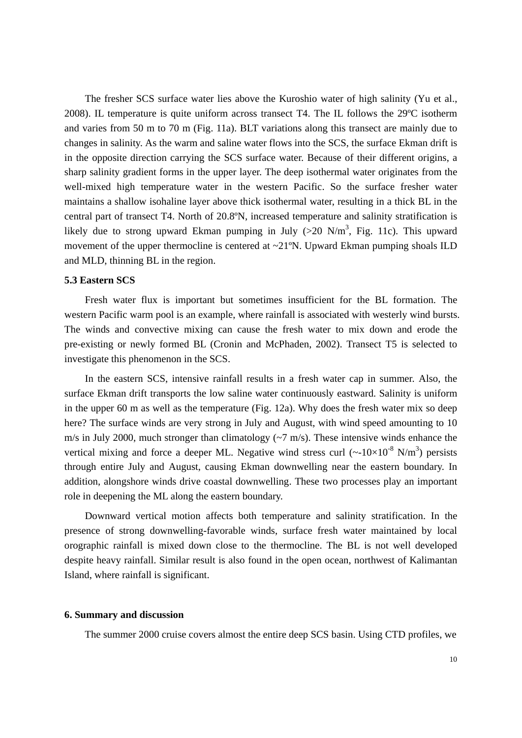The fresher SCS surface water lies above the Kuroshio water of high salinity (Yu et al., 2008). IL temperature is quite uniform across transect T4. The IL follows the 29ºC isotherm and varies from 50 m to 70 m (Fig. 11a). BLT variations along this transect are mainly due to changes in salinity. As the warm and saline water flows into the SCS, the surface Ekman drift is in the opposite direction carrying the SCS surface water. Because of their different origins, a sharp salinity gradient forms in the upper layer. The deep isothermal water originates from the well-mixed high temperature water in the western Pacific. So the surface fresher water maintains a shallow isohaline layer above thick isothermal water, resulting in a thick BL in the central part of transect T4. North of 20.8ºN, increased temperature and salinity stratification is likely due to strong upward Ekman pumping in July  $(>20 \text{ N/m}^3, \text{Fig. 11c})$ . This upward movement of the upper thermocline is centered at ~21ºN. Upward Ekman pumping shoals ILD and MLD, thinning BL in the region.

### **5.3 Eastern SCS**

Fresh water flux is important but sometimes insufficient for the BL formation. The western Pacific warm pool is an example, where rainfall is associated with westerly wind bursts. The winds and convective mixing can cause the fresh water to mix down and erode the pre-existing or newly formed BL (Cronin and McPhaden, 2002). Transect T5 is selected to investigate this phenomenon in the SCS.

In the eastern SCS, intensive rainfall results in a fresh water cap in summer. Also, the surface Ekman drift transports the low saline water continuously eastward. Salinity is uniform in the upper 60 m as well as the temperature (Fig. 12a). Why does the fresh water mix so deep here? The surface winds are very strong in July and August, with wind speed amounting to 10 m/s in July 2000, much stronger than climatology  $(\sim 7 \text{ m/s})$ . These intensive winds enhance the vertical mixing and force a deeper ML. Negative wind stress curl  $({\sim}10\times10^{-8} \text{ N/m}^3)$  persists through entire July and August, causing Ekman downwelling near the eastern boundary. In addition, alongshore winds drive coastal downwelling. These two processes play an important role in deepening the ML along the eastern boundary.

Downward vertical motion affects both temperature and salinity stratification. In the presence of strong downwelling-favorable winds, surface fresh water maintained by local orographic rainfall is mixed down close to the thermocline. The BL is not well developed despite heavy rainfall. Similar result is also found in the open ocean, northwest of Kalimantan Island, where rainfall is significant.

## **6. Summary and discussion**

The summer 2000 cruise covers almost the entire deep SCS basin. Using CTD profiles, we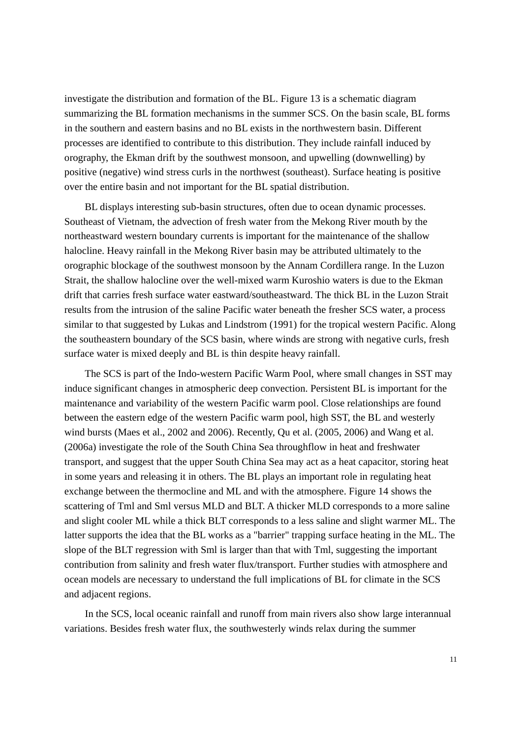investigate the distribution and formation of the BL. Figure 13 is a schematic diagram summarizing the BL formation mechanisms in the summer SCS. On the basin scale, BL forms in the southern and eastern basins and no BL exists in the northwestern basin. Different processes are identified to contribute to this distribution. They include rainfall induced by orography, the Ekman drift by the southwest monsoon, and upwelling (downwelling) by positive (negative) wind stress curls in the northwest (southeast). Surface heating is positive over the entire basin and not important for the BL spatial distribution.

BL displays interesting sub-basin structures, often due to ocean dynamic processes. Southeast of Vietnam, the advection of fresh water from the Mekong River mouth by the northeastward western boundary currents is important for the maintenance of the shallow halocline. Heavy rainfall in the Mekong River basin may be attributed ultimately to the orographic blockage of the southwest monsoon by the Annam Cordillera range. In the Luzon Strait, the shallow halocline over the well-mixed warm Kuroshio waters is due to the Ekman drift that carries fresh surface water eastward/southeastward. The thick BL in the Luzon Strait results from the intrusion of the saline Pacific water beneath the fresher SCS water, a process similar to that suggested by Lukas and Lindstrom (1991) for the tropical western Pacific. Along the southeastern boundary of the SCS basin, where winds are strong with negative curls, fresh surface water is mixed deeply and BL is thin despite heavy rainfall.

The SCS is part of the Indo-western Pacific Warm Pool, where small changes in SST may induce significant changes in atmospheric deep convection. Persistent BL is important for the maintenance and variability of the western Pacific warm pool. Close relationships are found between the eastern edge of the western Pacific warm pool, high SST, the BL and westerly wind bursts (Maes et al., 2002 and 2006). Recently, Qu et al. (2005, 2006) and Wang et al. (2006a) investigate the role of the South China Sea throughflow in heat and freshwater transport, and suggest that the upper South China Sea may act as a heat capacitor, storing heat in some years and releasing it in others. The BL plays an important role in regulating heat exchange between the thermocline and ML and with the atmosphere. Figure 14 shows the scattering of Tml and Sml versus MLD and BLT. A thicker MLD corresponds to a more saline and slight cooler ML while a thick BLT corresponds to a less saline and slight warmer ML. The latter supports the idea that the BL works as a "barrier" trapping surface heating in the ML. The slope of the BLT regression with Sml is larger than that with Tml, suggesting the important contribution from salinity and fresh water flux/transport. Further studies with atmosphere and ocean models are necessary to understand the full implications of BL for climate in the SCS and adjacent regions.

In the SCS, local oceanic rainfall and runoff from main rivers also show large interannual variations. Besides fresh water flux, the southwesterly winds relax during the summer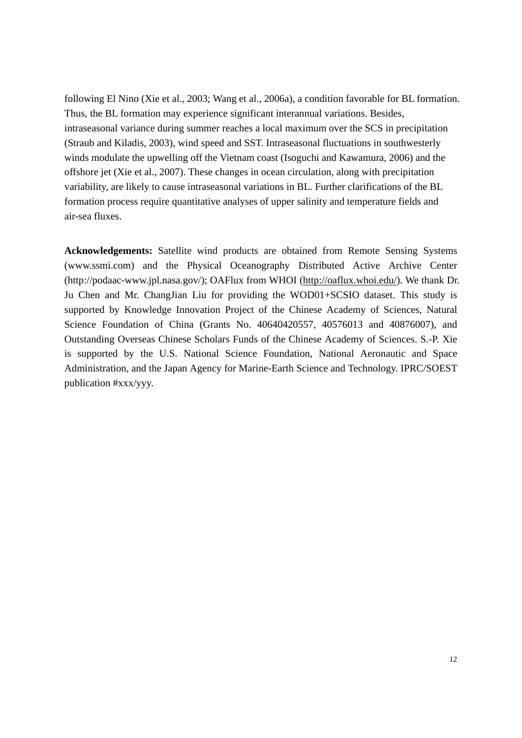following El Nino (Xie et al., 2003; Wang et al., 2006a), a condition favorable for BL formation. Thus, the BL formation may experience significant interannual variations. Besides, intraseasonal variance during summer reaches a local maximum over the SCS in precipitation (Straub and Kiladis, 2003), wind speed and SST. Intraseasonal fluctuations in southwesterly winds modulate the upwelling off the Vietnam coast (Isoguchi and Kawamura, 2006) and the offshore jet (Xie et al., 2007). These changes in ocean circulation, along with precipitation variability, are likely to cause intraseasonal variations in BL. Further clarifications of the BL formation process require quantitative analyses of upper salinity and temperature fields and air-sea fluxes.

**Acknowledgements:** Satellite wind products are obtained from Remote Sensing Systems (www.ssmi.com) and the Physical Oceanography Distributed Active Archive Center (http://podaac-www.jpl.nasa.gov/); OAFlux from WHOI (http://oaflux.whoi.edu/). We thank Dr. Ju Chen and Mr. ChangJian Liu for providing the WOD01+SCSIO dataset. This study is supported by Knowledge Innovation Project of the Chinese Academy of Sciences, Natural Science Foundation of China (Grants No. 40640420557, 40576013 and 40876007), and Outstanding Overseas Chinese Scholars Funds of the Chinese Academy of Sciences. S.-P. Xie is supported by the U.S. National Science Foundation, National Aeronautic and Space Administration, and the Japan Agency for Marine-Earth Science and Technology. IPRC/SOEST publication #xxx/yyy.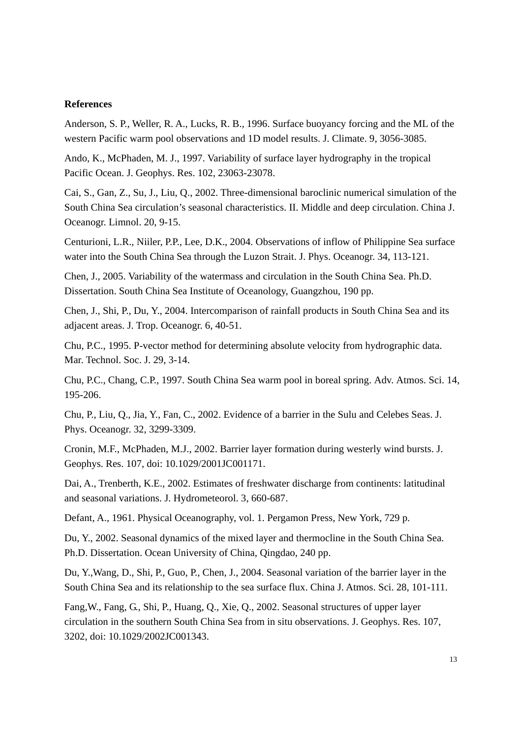# **References**

Anderson, S. P., Weller, R. A., Lucks, R. B., 1996. Surface buoyancy forcing and the ML of the western Pacific warm pool observations and 1D model results. J. Climate. 9, 3056-3085.

Ando, K., McPhaden, M. J., 1997. Variability of surface layer hydrography in the tropical Pacific Ocean. J. Geophys. Res. 102, 23063-23078.

Cai, S., Gan, Z., Su, J., Liu, Q., 2002. Three-dimensional baroclinic numerical simulation of the South China Sea circulation's seasonal characteristics. II. Middle and deep circulation. China J. Oceanogr. Limnol. 20, 9-15.

Centurioni, L.R., Niiler, P.P., Lee, D.K., 2004. Observations of inflow of Philippine Sea surface water into the South China Sea through the Luzon Strait. J. Phys. Oceanogr. 34, 113-121.

Chen, J., 2005. Variability of the watermass and circulation in the South China Sea. Ph.D. Dissertation. South China Sea Institute of Oceanology, Guangzhou, 190 pp.

Chen, J., Shi, P., Du, Y., 2004. Intercomparison of rainfall products in South China Sea and its adjacent areas. J. Trop. Oceanogr. 6, 40-51.

Chu, P.C., 1995. P-vector method for determining absolute velocity from hydrographic data. Mar. Technol. Soc. J. 29, 3-14.

Chu, P.C., Chang, C.P., 1997. South China Sea warm pool in boreal spring. Adv. Atmos. Sci. 14, 195-206.

Chu, P., Liu, Q., Jia, Y., Fan, C., 2002. Evidence of a barrier in the Sulu and Celebes Seas. J. Phys. Oceanogr. 32, 3299-3309.

Cronin, M.F., McPhaden, M.J., 2002. Barrier layer formation during westerly wind bursts. J. Geophys. Res. 107, doi: 10.1029/2001JC001171.

Dai, A., Trenberth, K.E., 2002. Estimates of freshwater discharge from continents: latitudinal and seasonal variations. J. Hydrometeorol. 3, 660-687.

Defant, A., 1961. Physical Oceanography, vol. 1. Pergamon Press, New York, 729 p.

Du, Y., 2002. Seasonal dynamics of the mixed layer and thermocline in the South China Sea. Ph.D. Dissertation. Ocean University of China, Qingdao, 240 pp.

Du, Y.,Wang, D., Shi, P., Guo, P., Chen, J., 2004. Seasonal variation of the barrier layer in the South China Sea and its relationship to the sea surface flux. China J. Atmos. Sci. 28, 101-111.

Fang,W., Fang, G., Shi, P., Huang, Q., Xie, Q., 2002. Seasonal structures of upper layer circulation in the southern South China Sea from in situ observations. J. Geophys. Res. 107, 3202, doi: 10.1029/2002JC001343.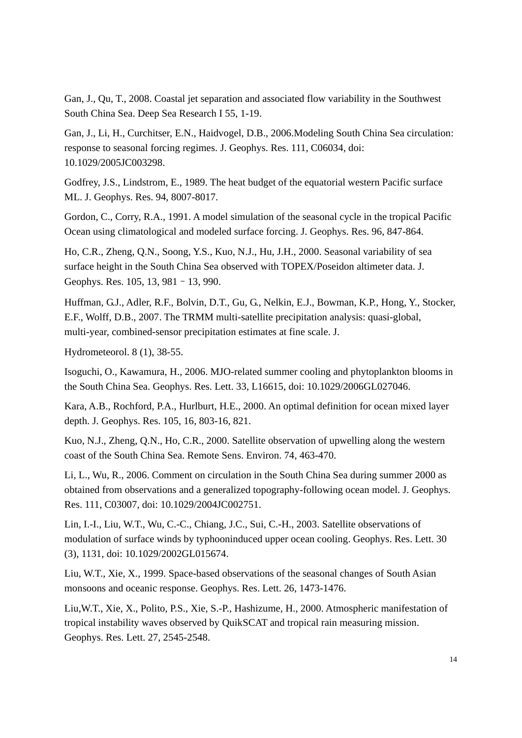Gan, J., Qu, T., 2008. Coastal jet separation and associated flow variability in the Southwest South China Sea. Deep Sea Research I 55, 1-19.

Gan, J., Li, H., Curchitser, E.N., Haidvogel, D.B., 2006.Modeling South China Sea circulation: response to seasonal forcing regimes. J. Geophys. Res. 111, C06034, doi: 10.1029/2005JC003298.

Godfrey, J.S., Lindstrom, E., 1989. The heat budget of the equatorial western Pacific surface ML. J. Geophys. Res. 94, 8007-8017.

Gordon, C., Corry, R.A., 1991. A model simulation of the seasonal cycle in the tropical Pacific Ocean using climatological and modeled surface forcing. J. Geophys. Res. 96, 847-864.

Ho, C.R., Zheng, Q.N., Soong, Y.S., Kuo, N.J., Hu, J.H., 2000. Seasonal variability of sea surface height in the South China Sea observed with TOPEX/Poseidon altimeter data. J. Geophys. Res. 105, 13, 981–13, 990.

Huffman, G.J., Adler, R.F., Bolvin, D.T., Gu, G., Nelkin, E.J., Bowman, K.P., Hong, Y., Stocker, E.F., Wolff, D.B., 2007. The TRMM multi-satellite precipitation analysis: quasi-global, multi-year, combined-sensor precipitation estimates at fine scale. J.

Hydrometeorol. 8 (1), 38-55.

Isoguchi, O., Kawamura, H., 2006. MJO-related summer cooling and phytoplankton blooms in the South China Sea. Geophys. Res. Lett. 33, L16615, doi: 10.1029/2006GL027046.

Kara, A.B., Rochford, P.A., Hurlburt, H.E., 2000. An optimal definition for ocean mixed layer depth. J. Geophys. Res. 105, 16, 803-16, 821.

Kuo, N.J., Zheng, Q.N., Ho, C.R., 2000. Satellite observation of upwelling along the western coast of the South China Sea. Remote Sens. Environ. 74, 463-470.

Li, L., Wu, R., 2006. Comment on circulation in the South China Sea during summer 2000 as obtained from observations and a generalized topography-following ocean model. J. Geophys. Res. 111, C03007, doi: 10.1029/2004JC002751.

Lin, I.-I., Liu, W.T., Wu, C.-C., Chiang, J.C., Sui, C.-H., 2003. Satellite observations of modulation of surface winds by typhooninduced upper ocean cooling. Geophys. Res. Lett. 30 (3), 1131, doi: 10.1029/2002GL015674.

Liu, W.T., Xie, X., 1999. Space-based observations of the seasonal changes of South Asian monsoons and oceanic response. Geophys. Res. Lett. 26, 1473-1476.

Liu,W.T., Xie, X., Polito, P.S., Xie, S.-P., Hashizume, H., 2000. Atmospheric manifestation of tropical instability waves observed by QuikSCAT and tropical rain measuring mission. Geophys. Res. Lett. 27, 2545-2548.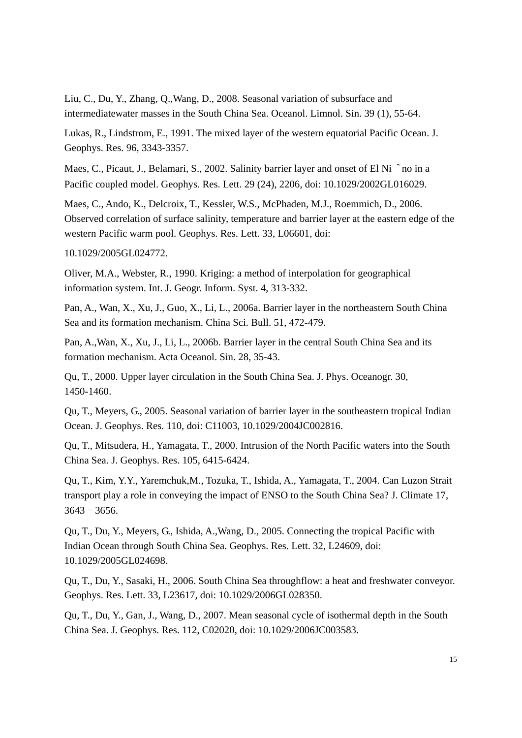Liu, C., Du, Y., Zhang, Q.,Wang, D., 2008. Seasonal variation of subsurface and intermediatewater masses in the South China Sea. Oceanol. Limnol. Sin. 39 (1), 55-64.

Lukas, R., Lindstrom, E., 1991. The mixed layer of the western equatorial Pacific Ocean. J. Geophys. Res. 96, 3343-3357.

Maes, C., Picaut, J., Belamari, S., 2002. Salinity barrier layer and onset of El Ni ˜no in a Pacific coupled model. Geophys. Res. Lett. 29 (24), 2206, doi: 10.1029/2002GL016029.

Maes, C., Ando, K., Delcroix, T., Kessler, W.S., McPhaden, M.J., Roemmich, D., 2006. Observed correlation of surface salinity, temperature and barrier layer at the eastern edge of the western Pacific warm pool. Geophys. Res. Lett. 33, L06601, doi:

## 10.1029/2005GL024772.

Oliver, M.A., Webster, R., 1990. Kriging: a method of interpolation for geographical information system. Int. J. Geogr. Inform. Syst. 4, 313-332.

Pan, A., Wan, X., Xu, J., Guo, X., Li, L., 2006a. Barrier layer in the northeastern South China Sea and its formation mechanism. China Sci. Bull. 51, 472-479.

Pan, A.,Wan, X., Xu, J., Li, L., 2006b. Barrier layer in the central South China Sea and its formation mechanism. Acta Oceanol. Sin. 28, 35-43.

Qu, T., 2000. Upper layer circulation in the South China Sea. J. Phys. Oceanogr. 30, 1450-1460.

Qu, T., Meyers, G., 2005. Seasonal variation of barrier layer in the southeastern tropical Indian Ocean. J. Geophys. Res. 110, doi: C11003, 10.1029/2004JC002816.

Qu, T., Mitsudera, H., Yamagata, T., 2000. Intrusion of the North Pacific waters into the South China Sea. J. Geophys. Res. 105, 6415-6424.

Qu, T., Kim, Y.Y., Yaremchuk,M., Tozuka, T., Ishida, A., Yamagata, T., 2004. Can Luzon Strait transport play a role in conveying the impact of ENSO to the South China Sea? J. Climate 17, 3643–3656.

Qu, T., Du, Y., Meyers, G., Ishida, A.,Wang, D., 2005. Connecting the tropical Pacific with Indian Ocean through South China Sea. Geophys. Res. Lett. 32, L24609, doi: 10.1029/2005GL024698.

Qu, T., Du, Y., Sasaki, H., 2006. South China Sea throughflow: a heat and freshwater conveyor. Geophys. Res. Lett. 33, L23617, doi: 10.1029/2006GL028350.

Qu, T., Du, Y., Gan, J., Wang, D., 2007. Mean seasonal cycle of isothermal depth in the South China Sea. J. Geophys. Res. 112, C02020, doi: 10.1029/2006JC003583.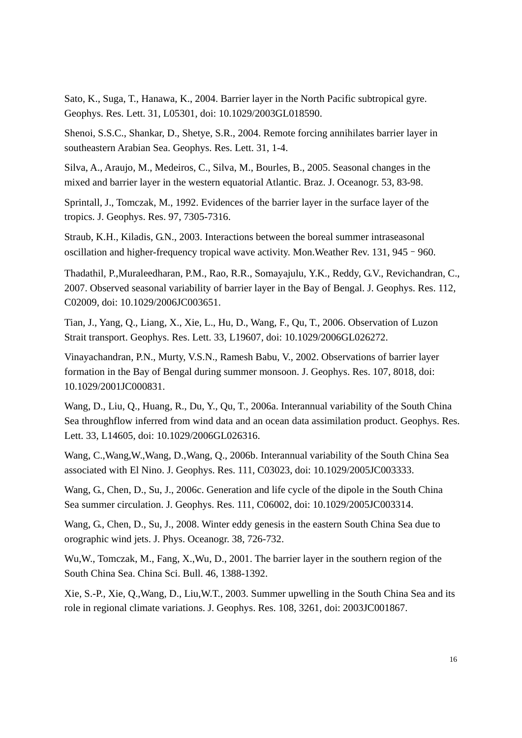Sato, K., Suga, T., Hanawa, K., 2004. Barrier layer in the North Pacific subtropical gyre. Geophys. Res. Lett. 31, L05301, doi: 10.1029/2003GL018590.

Shenoi, S.S.C., Shankar, D., Shetye, S.R., 2004. Remote forcing annihilates barrier layer in southeastern Arabian Sea. Geophys. Res. Lett. 31, 1-4.

Silva, A., Araujo, M., Medeiros, C., Silva, M., Bourles, B., 2005. Seasonal changes in the mixed and barrier layer in the western equatorial Atlantic. Braz. J. Oceanogr. 53, 83-98.

Sprintall, J., Tomczak, M., 1992. Evidences of the barrier layer in the surface layer of the tropics. J. Geophys. Res. 97, 7305-7316.

Straub, K.H., Kiladis, G.N., 2003. Interactions between the boreal summer intraseasonal oscillation and higher-frequency tropical wave activity. Mon.Weather Rev. 131, 945–960.

Thadathil, P.,Muraleedharan, P.M., Rao, R.R., Somayajulu, Y.K., Reddy, G.V., Revichandran, C., 2007. Observed seasonal variability of barrier layer in the Bay of Bengal. J. Geophys. Res. 112, C02009, doi: 10.1029/2006JC003651.

Tian, J., Yang, Q., Liang, X., Xie, L., Hu, D., Wang, F., Qu, T., 2006. Observation of Luzon Strait transport. Geophys. Res. Lett. 33, L19607, doi: 10.1029/2006GL026272.

Vinayachandran, P.N., Murty, V.S.N., Ramesh Babu, V., 2002. Observations of barrier layer formation in the Bay of Bengal during summer monsoon. J. Geophys. Res. 107, 8018, doi: 10.1029/2001JC000831.

Wang, D., Liu, Q., Huang, R., Du, Y., Qu, T., 2006a. Interannual variability of the South China Sea throughflow inferred from wind data and an ocean data assimilation product. Geophys. Res. Lett. 33, L14605, doi: 10.1029/2006GL026316.

Wang, C.,Wang,W.,Wang, D.,Wang, Q., 2006b. Interannual variability of the South China Sea associated with El Nino. J. Geophys. Res. 111, C03023, doi: 10.1029/2005JC003333.

Wang, G., Chen, D., Su, J., 2006c. Generation and life cycle of the dipole in the South China Sea summer circulation. J. Geophys. Res. 111, C06002, doi: 10.1029/2005JC003314.

Wang, G., Chen, D., Su, J., 2008. Winter eddy genesis in the eastern South China Sea due to orographic wind jets. J. Phys. Oceanogr. 38, 726-732.

Wu,W., Tomczak, M., Fang, X.,Wu, D., 2001. The barrier layer in the southern region of the South China Sea. China Sci. Bull. 46, 1388-1392.

Xie, S.-P., Xie, Q.,Wang, D., Liu,W.T., 2003. Summer upwelling in the South China Sea and its role in regional climate variations. J. Geophys. Res. 108, 3261, doi: 2003JC001867.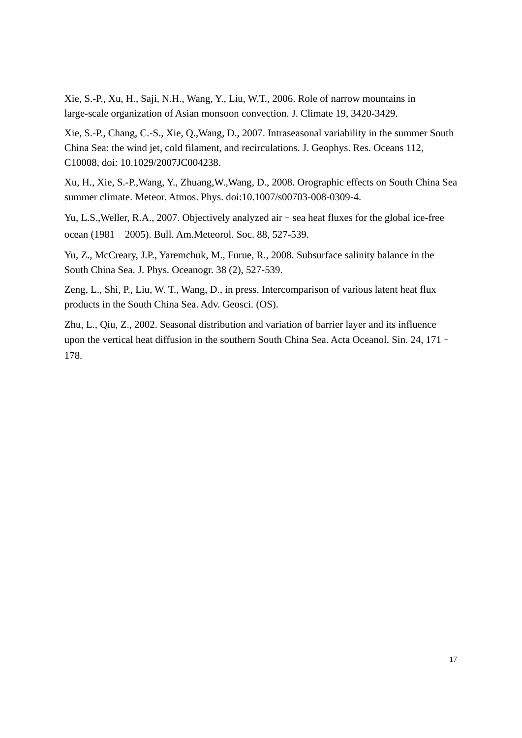Xie, S.-P., Xu, H., Saji, N.H., Wang, Y., Liu, W.T., 2006. Role of narrow mountains in large-scale organization of Asian monsoon convection. J. Climate 19, 3420-3429.

Xie, S.-P., Chang, C.-S., Xie, Q.,Wang, D., 2007. Intraseasonal variability in the summer South China Sea: the wind jet, cold filament, and recirculations. J. Geophys. Res. Oceans 112, C10008, doi: 10.1029/2007JC004238.

Xu, H., Xie, S.-P.,Wang, Y., Zhuang,W.,Wang, D., 2008. Orographic effects on South China Sea summer climate. Meteor. Atmos. Phys. doi:10.1007/s00703-008-0309-4.

Yu, L.S., Weller, R.A., 2007. Objectively analyzed air - sea heat fluxes for the global ice-free ocean (1981–2005). Bull. Am.Meteorol. Soc. 88, 527-539.

Yu, Z., McCreary, J.P., Yaremchuk, M., Furue, R., 2008. Subsurface salinity balance in the South China Sea. J. Phys. Oceanogr. 38 (2), 527-539.

Zeng, L., Shi, P., Liu, W. T., Wang, D., in press. Intercomparison of various latent heat flux products in the South China Sea. Adv. Geosci. (OS).

Zhu, L., Qiu, Z., 2002. Seasonal distribution and variation of barrier layer and its influence upon the vertical heat diffusion in the southern South China Sea. Acta Oceanol. Sin. 24, 171 -178.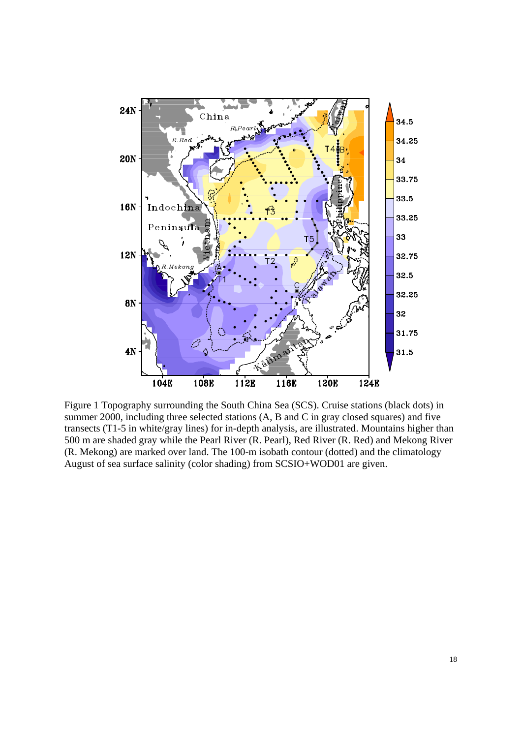

Figure 1 Topography surrounding the South China Sea (SCS). Cruise stations (black dots) in summer 2000, including three selected stations (A, B and C in gray closed squares) and five transects (T1-5 in white/gray lines) for in-depth analysis, are illustrated. Mountains higher than 500 m are shaded gray while the Pearl River (R. Pearl), Red River (R. Red) and Mekong River (R. Mekong) are marked over land. The 100-m isobath contour (dotted) and the climatology August of sea surface salinity (color shading) from SCSIO+WOD01 are given.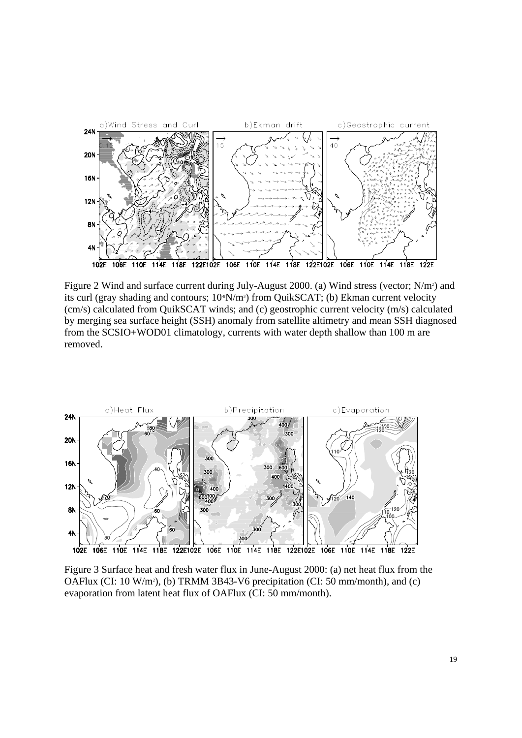

Figure 2 Wind and surface current during July-August 2000. (a) Wind stress (vector; N/m<sup>2</sup>) and its curl (gray shading and contours;  $10^{\circ}N/m^{\circ}$ ) from QuikSCAT; (b) Ekman current velocity (cm/s) calculated from QuikSCAT winds; and (c) geostrophic current velocity (m/s) calculated by merging sea surface height (SSH) anomaly from satellite altimetry and mean SSH diagnosed from the SCSIO+WOD01 climatology, currents with water depth shallow than 100 m are removed.



Figure 3 Surface heat and fresh water flux in June-August 2000: (a) net heat flux from the OAFlux (CI: 10 W/m<sup>2</sup>), (b) TRMM 3B43-V6 precipitation (CI: 50 mm/month), and (c) evaporation from latent heat flux of OAFlux (CI: 50 mm/month).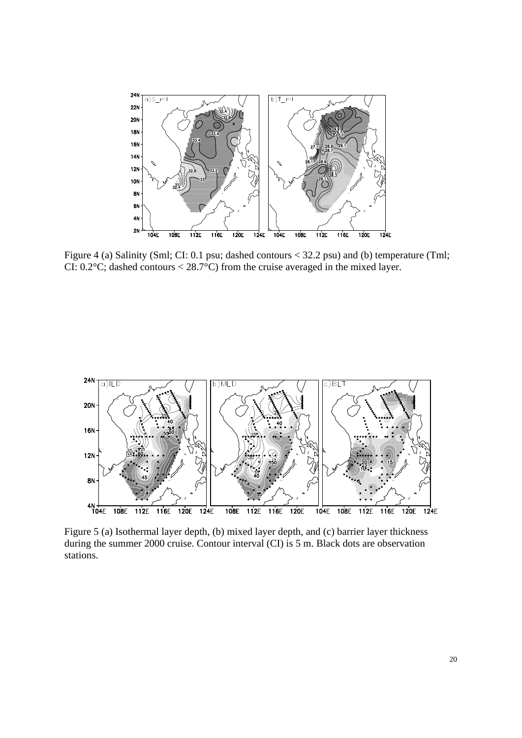

Figure 4 (a) Salinity (Sml; CI: 0.1 psu; dashed contours < 32.2 psu) and (b) temperature (Tml; CI:  $0.2^{\circ}$ C; dashed contours <  $28.7^{\circ}$ C) from the cruise averaged in the mixed layer.



Figure 5 (a) Isothermal layer depth, (b) mixed layer depth, and (c) barrier layer thickness during the summer 2000 cruise. Contour interval (CI) is 5 m. Black dots are observation stations.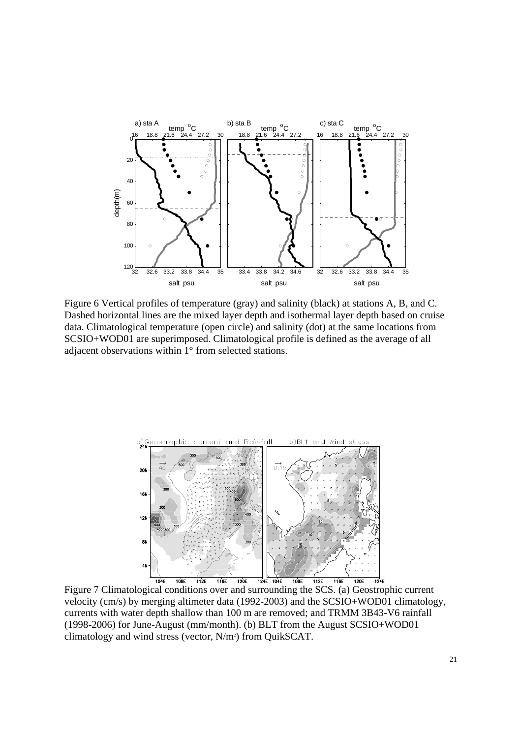

Figure 6 Vertical profiles of temperature (gray) and salinity (black) at stations A, B, and C. Dashed horizontal lines are the mixed layer depth and isothermal layer depth based on cruise data. Climatological temperature (open circle) and salinity (dot) at the same locations from SCSIO+WOD01 are superimposed. Climatological profile is defined as the average of all adjacent observations within 1° from selected stations.



Figure 7 Climatological conditions over and surrounding the SCS. (a) Geostrophic current velocity (cm/s) by merging altimeter data (1992-2003) and the SCSIO+WOD01 climatology, currents with water depth shallow than 100 m are removed; and TRMM 3B43-V6 rainfall (1998-2006) for June-August (mm/month). (b) BLT from the August SCSIO+WOD01 climatology and wind stress (vector, N/m<sup>2</sup>) from QuikSCAT.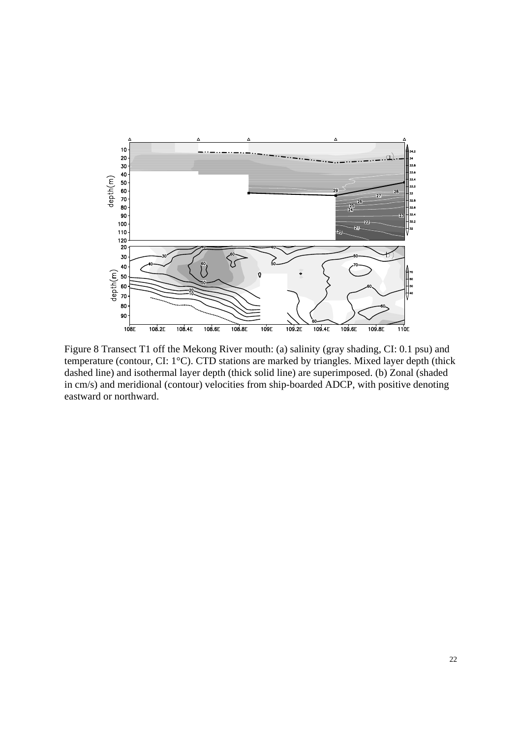

Figure 8 Transect T1 off the Mekong River mouth: (a) salinity (gray shading, CI: 0.1 psu) and temperature (contour, CI: 1°C). CTD stations are marked by triangles. Mixed layer depth (thick dashed line) and isothermal layer depth (thick solid line) are superimposed. (b) Zonal (shaded in cm/s) and meridional (contour) velocities from ship-boarded ADCP, with positive denoting eastward or northward.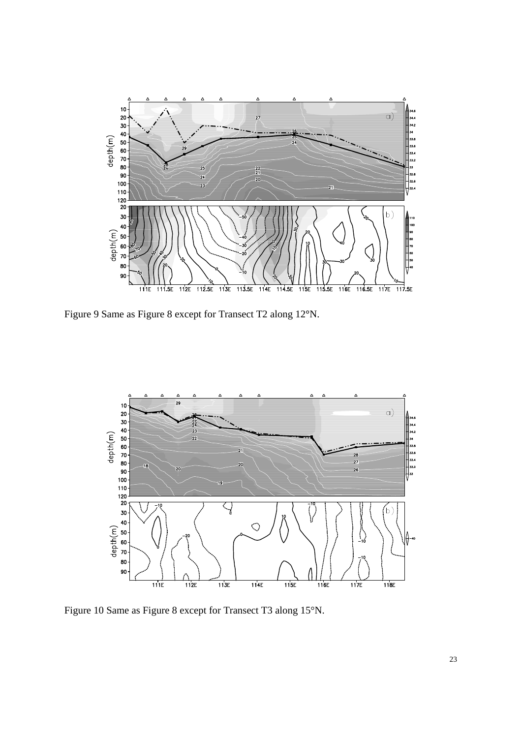

Figure 9 Same as Figure 8 except for Transect T2 along 12**°**N.



Figure 10 Same as Figure 8 except for Transect T3 along 15°N.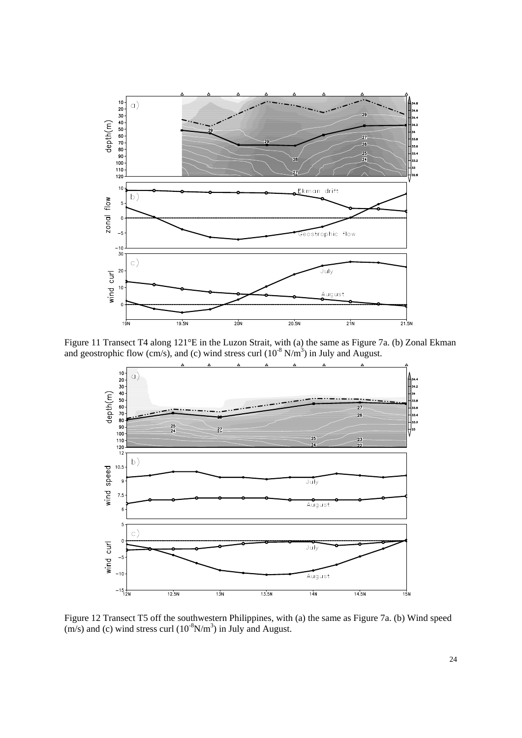

Figure 11 Transect T4 along 121°E in the Luzon Strait, with (a) the same as Figure 7a. (b) Zonal Ekman and geostrophic flow (cm/s), and (c) wind stress curl  $(10^{-8} \text{ N/m}^3)$  in July and August.



Figure 12 Transect T5 off the southwestern Philippines, with (a) the same as Figure 7a. (b) Wind speed  $(m/s)$  and (c) wind stress curl  $(10<sup>8</sup>N/m<sup>3</sup>)$  in July and August.